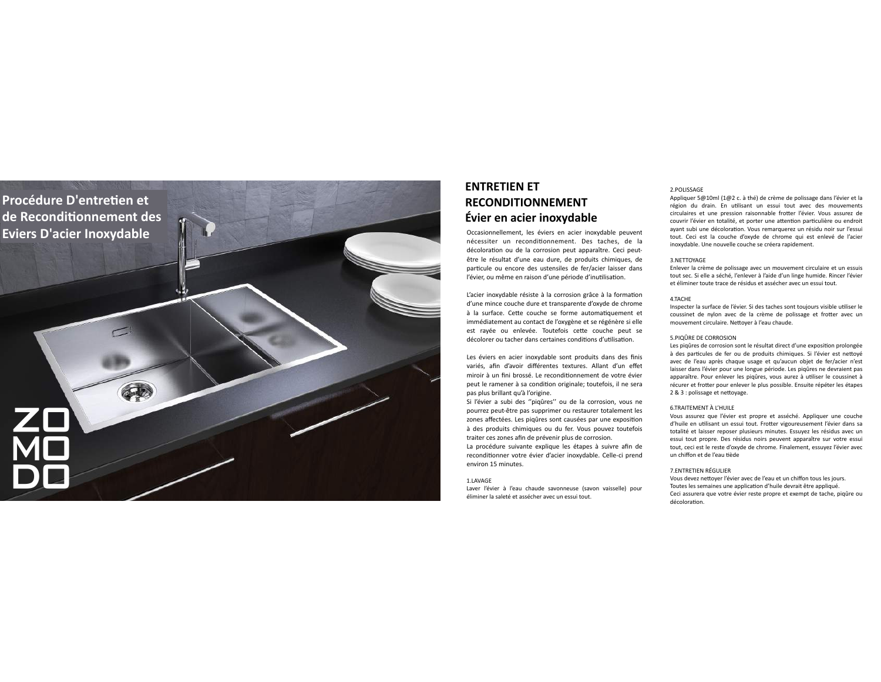

# ${\rm \acute{E}vier}$  en acier inoxydable **ENTRETIEN ET RECONDITIONNEMENT**

Occasionnementent, les eviers en acier moxydable peuvent decoloration ou de la corrosion peut apparaitre. Ceci peut-<br>être le résultat d'une eau dure, de produits chimiques, de décoloration ou de la corrosion peut apparaître. Ceci peutparticule ou encore des ustensiles de fer/acier laisser dans l'évier, ou même en raison d'une période d'inutilisation.

L'acier inoxydable résiste à la corrosion grâce à la formation d'une mince couche dure et transparente d'oxyde de chrome à la surface. Cette couche se forme automatiquement et immédiatement au contact de l'oxygène et se régénère si elle est rayée ou enlevée. Toutefois cette couche peut se est rayer ou emevee. Touterors certe courrie peut<br>décolorer ou tacher dans certaines conditions d'utilisation.

Les éviers en acier inoxydable sont produits dans des finis variés, afin d'avoir différentes textures. Allant d'un effet miroir à un fini brossé. Le reconditionnement de votre évier miroir a un miroosse. Le reconditionnement de votre evier<br>peut le ramener à sa condition originale; toutefois, il ne sera pas plus brillant qu'à l'origine.

pas plus brillant qu'ai orignie.<br>Si l'évier a subi des "piqûres" ou de la corrosion, vous ne pourrez peut-être pas supprimer ou restaurer totalement les portion. You can how the prevent treat the corrosion. The correction of the prevent treat the prevent treat to traiter ces zones afin de prévenir plus de corrosion. à des produits chimiques ou du fer. Vous pouvez toutefois

La procédure suivante explique les étapes à suivre afin de reconditionner votre évier d'acier inoxydable. Celle-ci prend environ 15 minutes.

# 1.LAVAGE

Laver l'évier à l'eau chaude savonneuse (savon vaisselle) pour éliminer la saleté et assécher avec un essui tout.

### 2.POLISSAGE

Appliquer 5@10ml (1@2 c. à thé) de crème de polissage dans l'évier et la région du drain. En utilisant un essui tout avec des mouvements région du drain. En utilisant un essui tout avec des mouvements<br>circulaires et une pression raisonnable frotter l'évier. Vous assurez de ayant subi une décoloration. Vous remarquerez un résidu noir sur l'essui tout. Ceci est la couche d'oxyde de chrome qui est enlevé de l'acier inoxydable. Une nouvelle couche se créera rapidement. into the nouvel course se creera rapidement. couvrir l'évier en totalité, et porter une attention particulière ou endroit

### 3.NETTOYAGE

3.NETTOYAGE<br>Enlever la crème de polissage avec un mouvement circulaire et un essuis tout sec. Si elle a séché, l'enlever à l'aide d'un linge humide. Rincer l'évier et éliminer toute trace de résidus et assécher avec un essui tout.<br>

#### Remove the polishing cream with clean dry paper towel using a circular 4.TACHE

4. IACHE<br>Inspecter la surface de l'évier. Si des taches sont toujours visible utiliser le mouvement circulaire. Nettoyer à l'eau chaude. coussinet de nylon avec de la crème de polissage et frotter avec un

# 5.PIQÛRE DE CORROSION

à des particules de fer ou de produits chimiques. Si l'évier est nettoyé avec de l'eau après chaque usage et qu'aucun objet de fer/acier n'est de de feud diples and de doge et quadant object de ferradier frest des laisser dans l'évier pour une longue période. Les piqûres ne devraient pas apparaître. Pour enlever les piqûres, vous aurez à utiliser le coussinet à apparaître. Pour enlever les piqûres, vous aurez à utiliser le coussinet à<br>récurer et frotter pour enlever le plus possible. Ensuite répéter les étapes 2 & 3 : polissage et nettoyage. 5.PIQURE DE CORROSION<br>Les piqûres de corrosion sont le résultat direct d'une exposition prolongée

## 6.TRAITEMENT À L'HUILE

ommentement a Enorez<br>Vous assurez que l'évier est propre et asséché. Appliquer une couche s assurez que revier est propre et asseche. Appliquer une couche<br>Lile en utilisant un essui tout. Frotter vigoureusement l'évier dans sa d'huile en utilisant un essui tout. Frotter vigoureusement l'évier dans sa<br>totalité et laisser reposer plusieurs minutes. Essuyez les résidus avec un essui tout propre. Des résidus noirs peuvent apparaître sur votre essui tout, ceci est le reste d'oxyde de chrome. Finalement, essuyez l'évier avec tout, ceci est le reste d'oxyde de chrome. Finalement, essuyez l'évier avec un chiffon et de l'eau tiède

# 7.ENTRETIEN RÉGULIER

7.ENTRETIEN REGULIER<br>Vous devez nettoyer l'évier avec de l'eau et un chiffon tous les jours. Toutes les semaines une application d'huile devrait être appliqué. discolours as semantes and approation a nane actual ette approate.<br>Ceci assurera que votre évier reste propre et exempt de tache, piqûre ou décoloration.